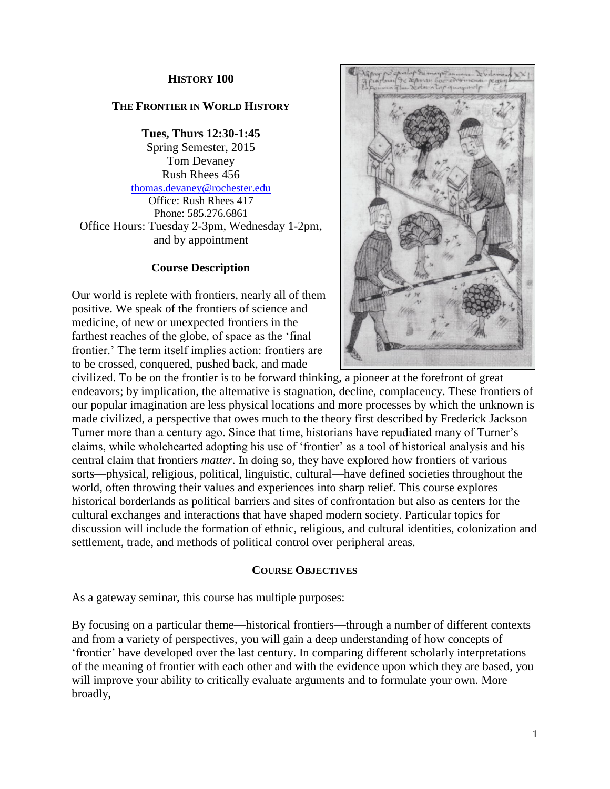#### **HISTORY 100**

#### **THE FRONTIER IN WORLD HISTORY**

**Tues, Thurs 12:30-1:45** Spring Semester, 2015 Tom Devaney Rush Rhees 456 [thomas.devaney@rochester.edu](mailto:thomas.devaney@rochester.edu) Office: Rush Rhees 417 Phone: 585.276.6861 Office Hours: Tuesday 2-3pm, Wednesday 1-2pm, and by appointment

#### **Course Description**

Our world is replete with frontiers, nearly all of them positive. We speak of the frontiers of science and medicine, of new or unexpected frontiers in the farthest reaches of the globe, of space as the 'final frontier.' The term itself implies action: frontiers are to be crossed, conquered, pushed back, and made



civilized. To be on the frontier is to be forward thinking, a pioneer at the forefront of great endeavors; by implication, the alternative is stagnation, decline, complacency. These frontiers of our popular imagination are less physical locations and more processes by which the unknown is made civilized, a perspective that owes much to the theory first described by Frederick Jackson Turner more than a century ago. Since that time, historians have repudiated many of Turner's claims, while wholehearted adopting his use of 'frontier' as a tool of historical analysis and his central claim that frontiers *matter*. In doing so, they have explored how frontiers of various sorts—physical, religious, political, linguistic, cultural—have defined societies throughout the world, often throwing their values and experiences into sharp relief. This course explores historical borderlands as political barriers and sites of confrontation but also as centers for the cultural exchanges and interactions that have shaped modern society. Particular topics for discussion will include the formation of ethnic, religious, and cultural identities, colonization and settlement, trade, and methods of political control over peripheral areas.

#### **COURSE OBJECTIVES**

As a gateway seminar, this course has multiple purposes:

By focusing on a particular theme—historical frontiers—through a number of different contexts and from a variety of perspectives, you will gain a deep understanding of how concepts of 'frontier' have developed over the last century. In comparing different scholarly interpretations of the meaning of frontier with each other and with the evidence upon which they are based, you will improve your ability to critically evaluate arguments and to formulate your own. More broadly,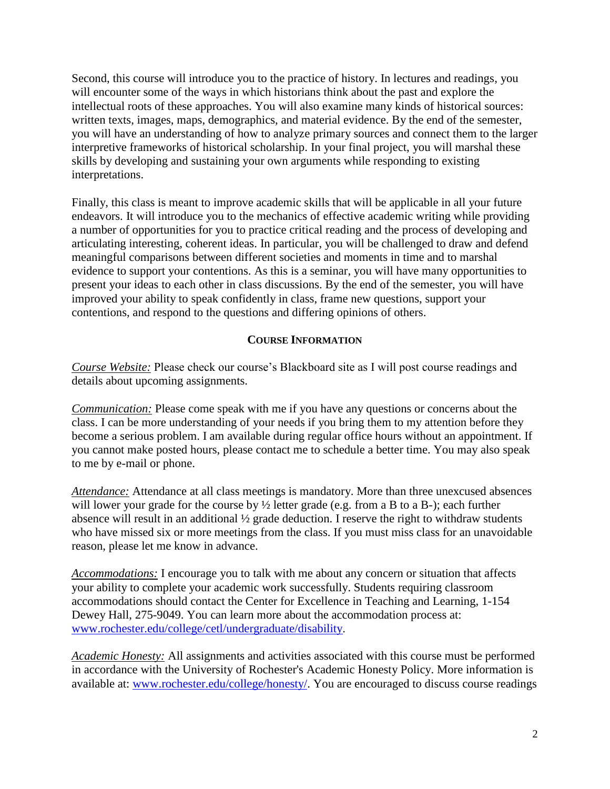Second, this course will introduce you to the practice of history. In lectures and readings, you will encounter some of the ways in which historians think about the past and explore the intellectual roots of these approaches. You will also examine many kinds of historical sources: written texts, images, maps, demographics, and material evidence. By the end of the semester, you will have an understanding of how to analyze primary sources and connect them to the larger interpretive frameworks of historical scholarship. In your final project, you will marshal these skills by developing and sustaining your own arguments while responding to existing interpretations.

Finally, this class is meant to improve academic skills that will be applicable in all your future endeavors. It will introduce you to the mechanics of effective academic writing while providing a number of opportunities for you to practice critical reading and the process of developing and articulating interesting, coherent ideas. In particular, you will be challenged to draw and defend meaningful comparisons between different societies and moments in time and to marshal evidence to support your contentions. As this is a seminar, you will have many opportunities to present your ideas to each other in class discussions. By the end of the semester, you will have improved your ability to speak confidently in class, frame new questions, support your contentions, and respond to the questions and differing opinions of others.

### **COURSE INFORMATION**

*Course Website:* Please check our course's Blackboard site as I will post course readings and details about upcoming assignments.

*Communication:* Please come speak with me if you have any questions or concerns about the class. I can be more understanding of your needs if you bring them to my attention before they become a serious problem. I am available during regular office hours without an appointment. If you cannot make posted hours, please contact me to schedule a better time. You may also speak to me by e-mail or phone.

*Attendance:* Attendance at all class meetings is mandatory. More than three unexcused absences will lower your grade for the course by  $\frac{1}{2}$  letter grade (e.g. from a B to a B-); each further absence will result in an additional ½ grade deduction. I reserve the right to withdraw students who have missed six or more meetings from the class. If you must miss class for an unavoidable reason, please let me know in advance.

*Accommodations:* I encourage you to talk with me about any concern or situation that affects your ability to complete your academic work successfully. Students requiring classroom accommodations should contact the Center for Excellence in Teaching and Learning, 1-154 Dewey Hall, 275-9049. You can learn more about the accommodation process at: [www.rochester.edu/college/cetl/undergraduate/disability.](http://www.rochester.edu/college/cetl/undergraduate/disability)

*Academic Honesty:* All assignments and activities associated with this course must be performed in accordance with the University of Rochester's Academic Honesty Policy. More information is available at: [www.rochester.edu/college/honesty/.](http://www.rochester.edu/college/honesty/) You are encouraged to discuss course readings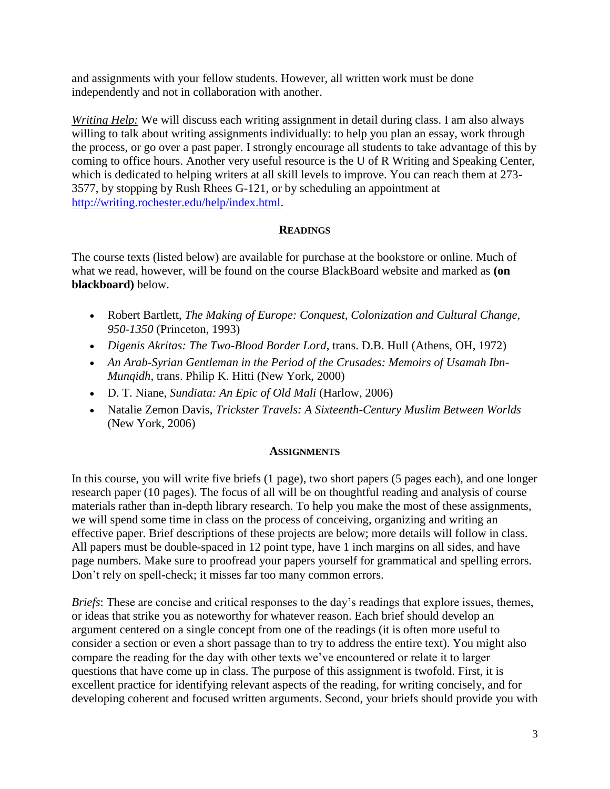and assignments with your fellow students. However, all written work must be done independently and not in collaboration with another.

*Writing Help:* We will discuss each writing assignment in detail during class. I am also always willing to talk about writing assignments individually: to help you plan an essay, work through the process, or go over a past paper. I strongly encourage all students to take advantage of this by coming to office hours. Another very useful resource is the U of R Writing and Speaking Center, which is dedicated to helping writers at all skill levels to improve. You can reach them at 273- 3577, by stopping by Rush Rhees G-121, or by scheduling an appointment at [http://writing.rochester.edu/help/index.html.](http://writing.rochester.edu/help/index.html)

## **READINGS**

The course texts (listed below) are available for purchase at the bookstore or online. Much of what we read, however, will be found on the course BlackBoard website and marked as **(on blackboard)** below.

- Robert Bartlett, *The Making of Europe: Conquest, Colonization and Cultural Change, 950-1350* (Princeton, 1993)
- *Digenis Akritas: The Two-Blood Border Lord*, trans. D.B. Hull (Athens, OH, 1972)
- *An Arab-Syrian Gentleman in the Period of the Crusades: Memoirs of Usamah Ibn-Munqidh*, trans. Philip K. Hitti (New York, 2000)
- D. T. Niane, *Sundiata: An Epic of Old Mali* (Harlow, 2006)
- Natalie Zemon Davis, *Trickster Travels: A Sixteenth-Century Muslim Between Worlds* (New York, 2006)

### **ASSIGNMENTS**

In this course, you will write five briefs (1 page), two short papers (5 pages each), and one longer research paper (10 pages). The focus of all will be on thoughtful reading and analysis of course materials rather than in-depth library research. To help you make the most of these assignments, we will spend some time in class on the process of conceiving, organizing and writing an effective paper. Brief descriptions of these projects are below; more details will follow in class. All papers must be double-spaced in 12 point type, have 1 inch margins on all sides, and have page numbers. Make sure to proofread your papers yourself for grammatical and spelling errors. Don't rely on spell-check; it misses far too many common errors.

*Briefs*: These are concise and critical responses to the day's readings that explore issues, themes, or ideas that strike you as noteworthy for whatever reason. Each brief should develop an argument centered on a single concept from one of the readings (it is often more useful to consider a section or even a short passage than to try to address the entire text). You might also compare the reading for the day with other texts we've encountered or relate it to larger questions that have come up in class. The purpose of this assignment is twofold. First, it is excellent practice for identifying relevant aspects of the reading, for writing concisely, and for developing coherent and focused written arguments. Second, your briefs should provide you with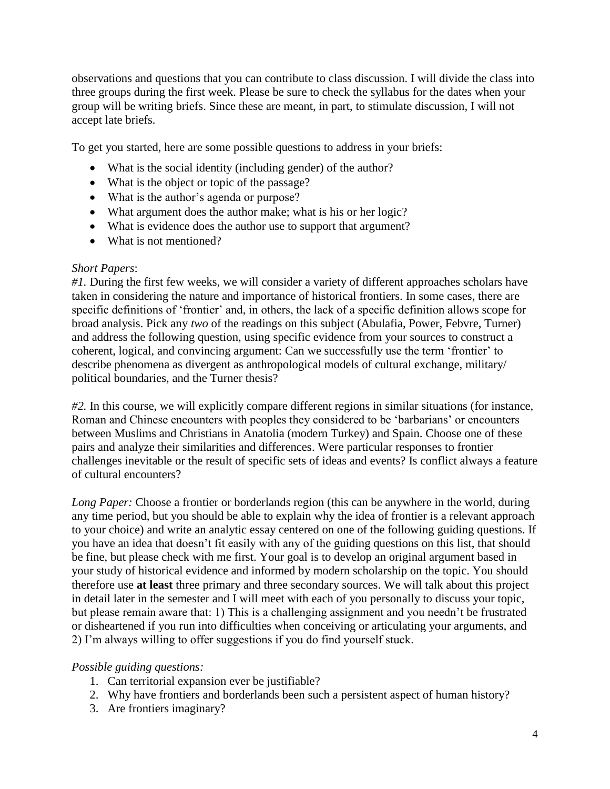observations and questions that you can contribute to class discussion. I will divide the class into three groups during the first week. Please be sure to check the syllabus for the dates when your group will be writing briefs. Since these are meant, in part, to stimulate discussion, I will not accept late briefs.

To get you started, here are some possible questions to address in your briefs:

- What is the social identity (including gender) of the author?
- What is the object or topic of the passage?
- What is the author's agenda or purpose?
- What argument does the author make; what is his or her logic?
- What is evidence does the author use to support that argument?
- What is not mentioned?

#### *Short Papers*:

*#1.* During the first few weeks, we will consider a variety of different approaches scholars have taken in considering the nature and importance of historical frontiers. In some cases, there are specific definitions of 'frontier' and, in others, the lack of a specific definition allows scope for broad analysis. Pick any *two* of the readings on this subject (Abulafia, Power, Febvre, Turner) and address the following question, using specific evidence from your sources to construct a coherent, logical, and convincing argument: Can we successfully use the term 'frontier' to describe phenomena as divergent as anthropological models of cultural exchange, military/ political boundaries, and the Turner thesis?

*#2.* In this course, we will explicitly compare different regions in similar situations (for instance, Roman and Chinese encounters with peoples they considered to be 'barbarians' or encounters between Muslims and Christians in Anatolia (modern Turkey) and Spain. Choose one of these pairs and analyze their similarities and differences. Were particular responses to frontier challenges inevitable or the result of specific sets of ideas and events? Is conflict always a feature of cultural encounters?

*Long Paper:* Choose a frontier or borderlands region (this can be anywhere in the world, during any time period, but you should be able to explain why the idea of frontier is a relevant approach to your choice) and write an analytic essay centered on one of the following guiding questions. If you have an idea that doesn't fit easily with any of the guiding questions on this list, that should be fine, but please check with me first. Your goal is to develop an original argument based in your study of historical evidence and informed by modern scholarship on the topic. You should therefore use **at least** three primary and three secondary sources. We will talk about this project in detail later in the semester and I will meet with each of you personally to discuss your topic, but please remain aware that: 1) This is a challenging assignment and you needn't be frustrated or disheartened if you run into difficulties when conceiving or articulating your arguments, and 2) I'm always willing to offer suggestions if you do find yourself stuck.

#### *Possible guiding questions:*

- 1. Can territorial expansion ever be justifiable?
- 2. Why have frontiers and borderlands been such a persistent aspect of human history?
- 3. Are frontiers imaginary?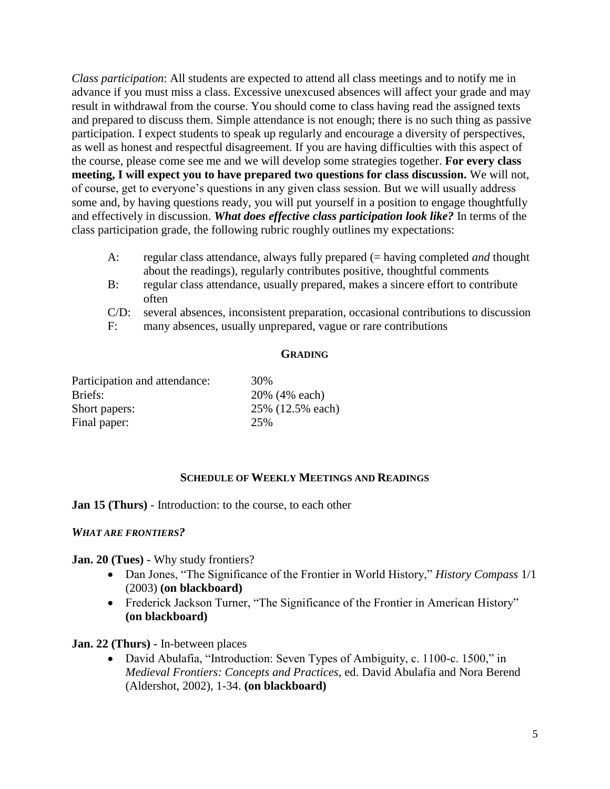*Class participation*: All students are expected to attend all class meetings and to notify me in advance if you must miss a class. Excessive unexcused absences will affect your grade and may result in withdrawal from the course. You should come to class having read the assigned texts and prepared to discuss them. Simple attendance is not enough; there is no such thing as passive participation. I expect students to speak up regularly and encourage a diversity of perspectives, as well as honest and respectful disagreement. If you are having difficulties with this aspect of the course, please come see me and we will develop some strategies together. **For every class meeting, I will expect you to have prepared two questions for class discussion.** We will not, of course, get to everyone's questions in any given class session. But we will usually address some and, by having questions ready, you will put yourself in a position to engage thoughtfully and effectively in discussion. *What does effective class participation look like?* In terms of the class participation grade, the following rubric roughly outlines my expectations:

- A: regular class attendance, always fully prepared (= having completed *and* thought about the readings), regularly contributes positive, thoughtful comments
- B: regular class attendance, usually prepared, makes a sincere effort to contribute often
- C/D: several absences, inconsistent preparation, occasional contributions to discussion
- F: many absences, usually unprepared, vague or rare contributions

#### **GRADING**

| Participation and attendance: | 30%              |
|-------------------------------|------------------|
| Briefs:                       | 20% (4% each)    |
| Short papers:                 | 25% (12.5% each) |
| Final paper:                  | 25%              |

#### **SCHEDULE OF WEEKLY MEETINGS AND READINGS**

**Jan 15 (Thurs)** - Introduction: to the course, to each other

*WHAT ARE FRONTIERS?*

**Jan. 20 (Tues) -** Why study frontiers?

- Dan Jones, "The Significance of the Frontier in World History," *History Compass* 1/1 (2003) **(on blackboard)**
- Frederick Jackson Turner, "The Significance of the Frontier in American History" **(on blackboard)**

**Jan. 22 (Thurs) -** In-between places

 David Abulafia, "Introduction: Seven Types of Ambiguity, c. 1100-c. 1500," in *Medieval Frontiers: Concepts and Practices*, ed. David Abulafia and Nora Berend (Aldershot, 2002), 1-34. **(on blackboard)**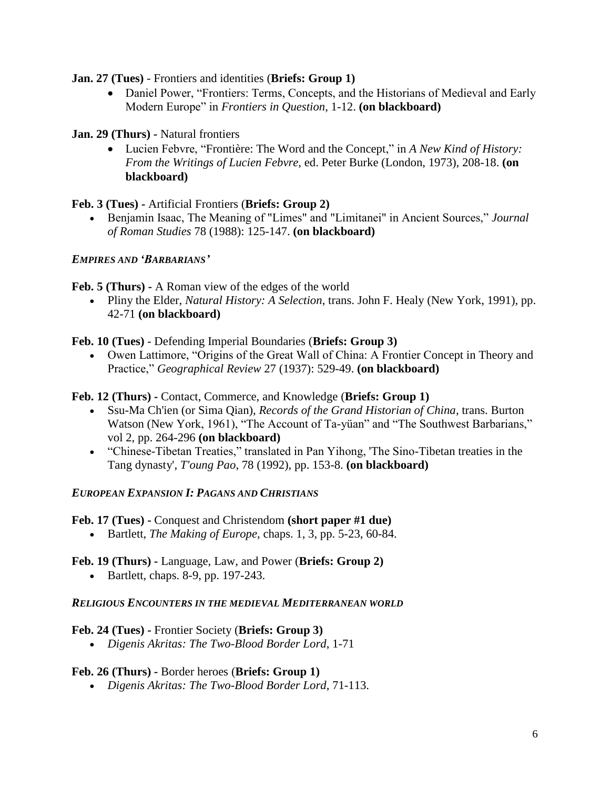**Jan. 27 (Tues)** - Frontiers and identities (**Briefs: Group 1)**

- Daniel Power, "Frontiers: Terms, Concepts, and the Historians of Medieval and Early Modern Europe" in *Frontiers in Question*, 1-12. **(on blackboard)**
- **Jan. 29 (Thurs) -** Natural frontiers
	- Lucien Febvre, "Frontière: The Word and the Concept," in *A New Kind of History: From the Writings of Lucien Febvre*, ed. Peter Burke (London, 1973), 208-18. **(on blackboard)**

**Feb. 3 (Tues) -** Artificial Frontiers (**Briefs: Group 2)**

 Benjamin Isaac, The Meaning of "Limes" and "Limitanei" in Ancient Sources," *Journal of Roman Studies* 78 (1988): 125-147. **(on blackboard)**

*EMPIRES AND 'BARBARIANS'*

**Feb. 5 (Thurs) -** A Roman view of the edges of the world

 Pliny the Elder, *Natural History: A Selection*, trans. John F. Healy (New York, 1991), pp. 42-71 **(on blackboard)**

**Feb. 10 (Tues)** - Defending Imperial Boundaries (**Briefs: Group 3)**

 Owen Lattimore, "Origins of the Great Wall of China: A Frontier Concept in Theory and Practice," *Geographical Review* 27 (1937): 529-49. **(on blackboard)**

#### **Feb. 12 (Thurs) -** Contact, Commerce, and Knowledge (**Briefs: Group 1)**

- Ssu-Ma Ch'ien (or Sima Qian), *Records of the Grand Historian of China*, trans. Burton Watson (New York, 1961), "The Account of Ta-yüan" and "The Southwest Barbarians," vol 2, pp. 264-296 **(on blackboard)**
- "Chinese-Tibetan Treaties," translated in Pan Yihong, 'The Sino-Tibetan treaties in the Tang dynasty', *T'oung Pao*, 78 (1992), pp. 153-8. **(on blackboard)**

### *EUROPEAN EXPANSION I: PAGANS AND CHRISTIANS*

#### **Feb. 17 (Tues) -** Conquest and Christendom **(short paper #1 due)**

Bartlett, *The Making of Europe*, chaps. 1, 3, pp. 5-23, 60-84.

### **Feb. 19 (Thurs) -** Language, Law, and Power (**Briefs: Group 2)**

Bartlett, chaps. 8-9, pp. 197-243.

#### *RELIGIOUS ENCOUNTERS IN THE MEDIEVAL MEDITERRANEAN WORLD*

#### **Feb. 24 (Tues) -** Frontier Society (**Briefs: Group 3)**

*Digenis Akritas: The Two-Blood Border Lord*, 1-71

#### **Feb. 26 (Thurs) -** Border heroes (**Briefs: Group 1)**

*Digenis Akritas: The Two-Blood Border Lord*, 71-113.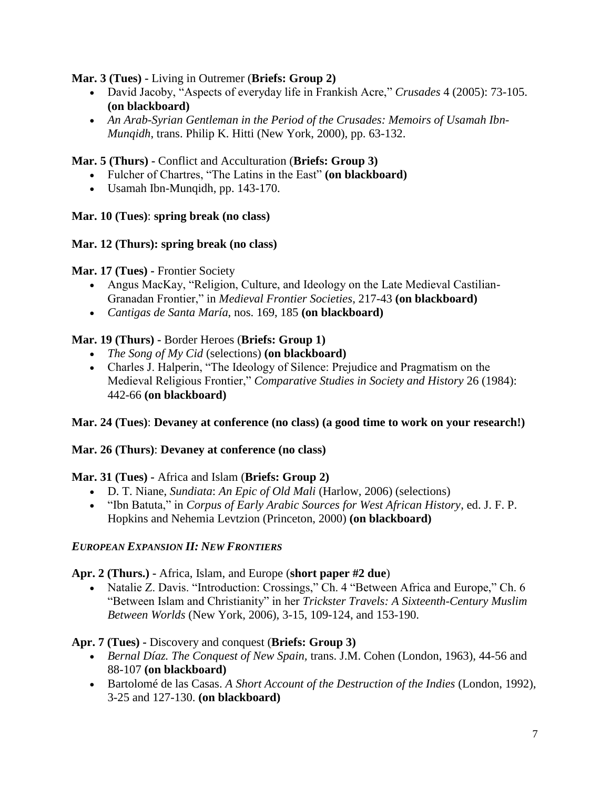### **Mar. 3 (Tues) -** Living in Outremer (**Briefs: Group 2)**

- David Jacoby, "Aspects of everyday life in Frankish Acre," *Crusades* 4 (2005): 73-105. **(on blackboard)**
- *An Arab-Syrian Gentleman in the Period of the Crusades: Memoirs of Usamah Ibn-Munqidh*, trans. Philip K. Hitti (New York, 2000), pp. 63-132.

# **Mar. 5 (Thurs) -** Conflict and Acculturation (**Briefs: Group 3)**

- Fulcher of Chartres, "The Latins in the East" **(on blackboard)**
- Usamah Ibn-Munqidh, pp. 143-170.

# **Mar. 10 (Tues)**: **spring break (no class)**

## **Mar. 12 (Thurs): spring break (no class)**

## **Mar. 17 (Tues) -** Frontier Society

- Angus MacKay, "Religion, Culture, and Ideology on the Late Medieval Castilian-Granadan Frontier," in *Medieval Frontier Societies*, 217-43 **(on blackboard)**
- *Cantigas de Santa María*, nos. 169, 185 **(on blackboard)**

# **Mar. 19 (Thurs) -** Border Heroes (**Briefs: Group 1)**

- *The Song of My Cid* (selections) **(on blackboard)**
- Charles J. Halperin, "The Ideology of Silence: Prejudice and Pragmatism on the Medieval Religious Frontier," *Comparative Studies in Society and History* 26 (1984): 442-66 **(on blackboard)**

# **Mar. 24 (Tues)**: **Devaney at conference (no class) (a good time to work on your research!)**

### **Mar. 26 (Thurs)**: **Devaney at conference (no class)**

### **Mar. 31 (Tues) -** Africa and Islam (**Briefs: Group 2)**

- D. T. Niane, *Sundiata*: *An Epic of Old Mali* (Harlow, 2006) (selections)
- "Ibn Batuta," in *Corpus of Early Arabic Sources for West African History*, ed. J. F. P. Hopkins and Nehemia Levtzion (Princeton, 2000) **(on blackboard)**

### *EUROPEAN EXPANSION II: NEW FRONTIERS*

### **Apr. 2 (Thurs.) -** Africa, Islam, and Europe (**short paper #2 due**)

• Natalie Z. Davis. "Introduction: Crossings," Ch. 4 "Between Africa and Europe," Ch. 6 "Between Islam and Christianity" in her *Trickster Travels: A Sixteenth-Century Muslim Between Worlds* (New York, 2006), 3-15, 109-124, and 153-190.

# **Apr. 7 (Tues) -** Discovery and conquest (**Briefs: Group 3)**

- *Bernal Díaz. The Conquest of New Spain,* trans. J.M. Cohen (London, 1963), 44-56 and 88-107 **(on blackboard)**
- Bartolomé de las Casas. *A Short Account of the Destruction of the Indies* (London, 1992), 3-25 and 127-130. **(on blackboard)**